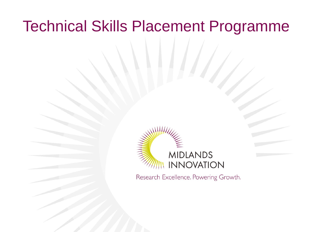## Technical Skills Placement Programme



Research Excellence. Powering Growth.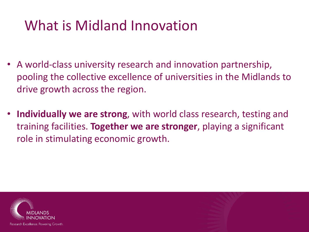## What is Midland Innovation

- A world-class university research and innovation partnership, pooling the collective excellence of universities in the Midlands to drive growth across the region.
- **Individually we are strong**, with world class research, testing and training facilities. **Together we are stronger**, playing a significant role in stimulating economic growth.

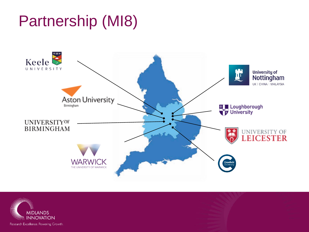## Partnership (MI8)



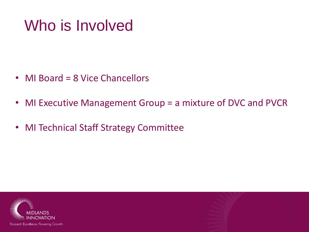## Who is Involved

- MI Board = 8 Vice Chancellors
- MI Executive Management Group = a mixture of DVC and PVCR
- MI Technical Staff Strategy Committee

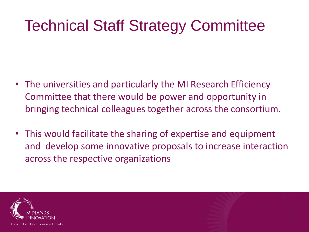## Technical Staff Strategy Committee

- The universities and particularly the MI Research Efficiency Committee that there would be power and opportunity in bringing technical colleagues together across the consortium.
- This would facilitate the sharing of expertise and equipment and develop some innovative proposals to increase interaction across the respective organizations

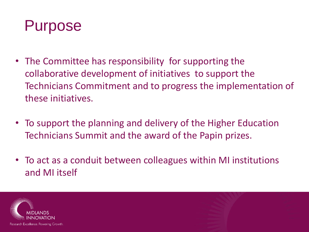

- The Committee has responsibility for supporting the collaborative development of initiatives to support the Technicians Commitment and to progress the implementation of these initiatives.
- To support the planning and delivery of the Higher Education Technicians Summit and the award of the Papin prizes.
- To act as a conduit between colleagues within MI institutions and MI itself

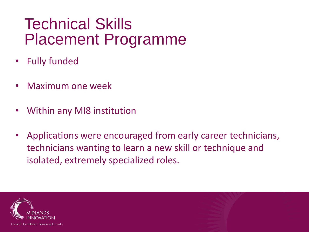## Technical Skills Placement Programme

- Fully funded
- Maximum one week
- Within any MI8 institution
- Applications were encouraged from early career technicians, technicians wanting to learn a new skill or technique and isolated, extremely specialized roles.

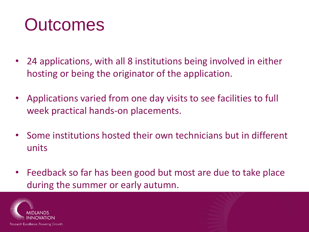# **Outcomes**

- 24 applications, with all 8 institutions being involved in either hosting or being the originator of the application.
- Applications varied from one day visits to see facilities to full week practical hands-on placements.
- Some institutions hosted their own technicians but in different units
- Feedback so far has been good but most are due to take place during the summer or early autumn.

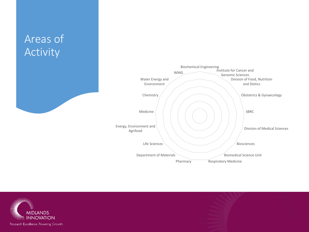### Areas of Activity





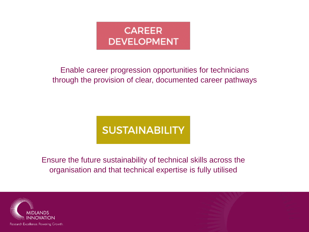

#### Enable career progression opportunities for technicians through the provision of clear, documented career pathways

### **SUSTAINABILITY**

Ensure the future sustainability of technical skills across the organisation and that technical expertise is fully utilised